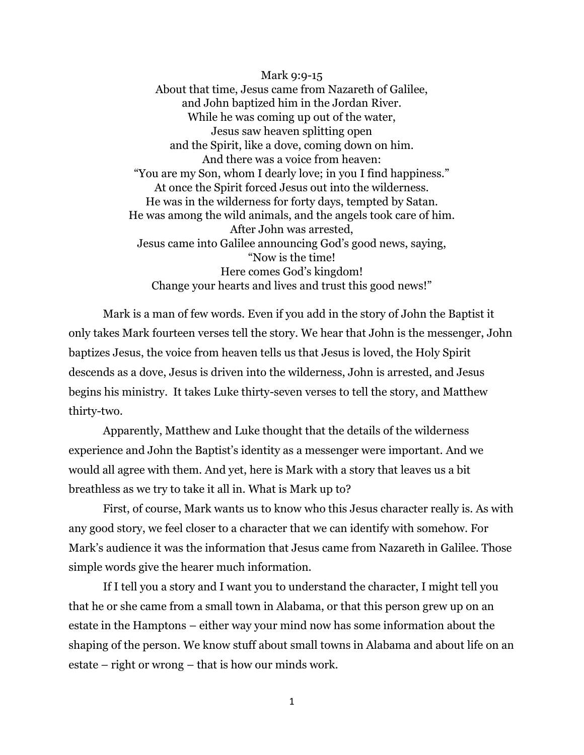Mark 9:9-15 About that time, Jesus came from Nazareth of Galilee, and John baptized him in the Jordan River. While he was coming up out of the water, Jesus saw heaven splitting open and the Spirit, like a dove, coming down on him. And there was a voice from heaven: "You are my Son, whom I dearly love; in you I find happiness." At once the Spirit forced Jesus out into the wilderness. He was in the wilderness for forty days, tempted by Satan. He was among the wild animals, and the angels took care of him. After John was arrested, Jesus came into Galilee announcing God's good news, saying, "Now is the time! Here comes God's kingdom! Change your hearts and lives and trust this good news!"

Mark is a man of few words. Even if you add in the story of John the Baptist it only takes Mark fourteen verses tell the story. We hear that John is the messenger, John baptizes Jesus, the voice from heaven tells us that Jesus is loved, the Holy Spirit descends as a dove, Jesus is driven into the wilderness, John is arrested, and Jesus begins his ministry. It takes Luke thirty-seven verses to tell the story, and Matthew thirty-two.

Apparently, Matthew and Luke thought that the details of the wilderness experience and John the Baptist's identity as a messenger were important. And we would all agree with them. And yet, here is Mark with a story that leaves us a bit breathless as we try to take it all in. What is Mark up to?

First, of course, Mark wants us to know who this Jesus character really is. As with any good story, we feel closer to a character that we can identify with somehow. For Mark's audience it was the information that Jesus came from Nazareth in Galilee. Those simple words give the hearer much information.

If I tell you a story and I want you to understand the character, I might tell you that he or she came from a small town in Alabama, or that this person grew up on an estate in the Hamptons – either way your mind now has some information about the shaping of the person. We know stuff about small towns in Alabama and about life on an estate – right or wrong – that is how our minds work.

1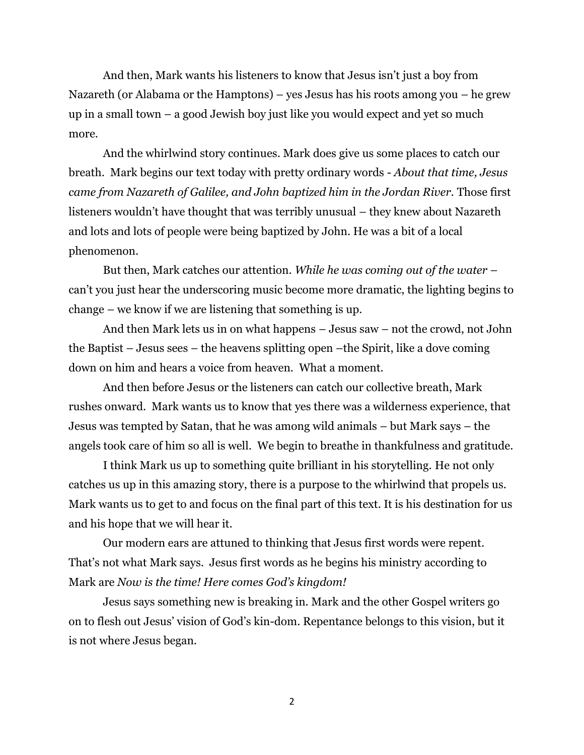And then, Mark wants his listeners to know that Jesus isn't just a boy from Nazareth (or Alabama or the Hamptons) – yes Jesus has his roots among you – he grew up in a small town – a good Jewish boy just like you would expect and yet so much more.

And the whirlwind story continues. Mark does give us some places to catch our breath. Mark begins our text today with pretty ordinary words - *About that time, Jesus came from Nazareth of Galilee, and John baptized him in the Jordan River.* Those first listeners wouldn't have thought that was terribly unusual – they knew about Nazareth and lots and lots of people were being baptized by John. He was a bit of a local phenomenon.

But then, Mark catches our attention. *While he was coming out of the water* – can't you just hear the underscoring music become more dramatic, the lighting begins to change – we know if we are listening that something is up.

And then Mark lets us in on what happens – Jesus saw – not the crowd, not John the Baptist – Jesus sees – the heavens splitting open –the Spirit, like a dove coming down on him and hears a voice from heaven. What a moment.

And then before Jesus or the listeners can catch our collective breath, Mark rushes onward. Mark wants us to know that yes there was a wilderness experience, that Jesus was tempted by Satan, that he was among wild animals – but Mark says – the angels took care of him so all is well. We begin to breathe in thankfulness and gratitude.

I think Mark us up to something quite brilliant in his storytelling. He not only catches us up in this amazing story, there is a purpose to the whirlwind that propels us. Mark wants us to get to and focus on the final part of this text. It is his destination for us and his hope that we will hear it.

Our modern ears are attuned to thinking that Jesus first words were repent. That's not what Mark says. Jesus first words as he begins his ministry according to Mark are *Now is the time! Here comes God's kingdom!* 

Jesus says something new is breaking in. Mark and the other Gospel writers go on to flesh out Jesus' vision of God's kin-dom. Repentance belongs to this vision, but it is not where Jesus began.

2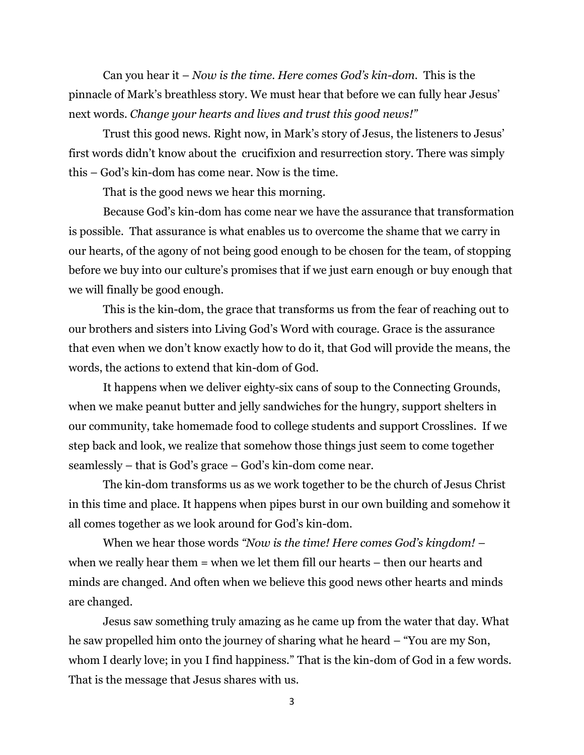Can you hear it – *Now is the time. Here comes God's kin-dom.* This is the pinnacle of Mark's breathless story. We must hear that before we can fully hear Jesus' next words. *Change your hearts and lives and trust this good news!"*

Trust this good news. Right now, in Mark's story of Jesus, the listeners to Jesus' first words didn't know about the crucifixion and resurrection story. There was simply this – God's kin-dom has come near. Now is the time.

That is the good news we hear this morning.

Because God's kin-dom has come near we have the assurance that transformation is possible. That assurance is what enables us to overcome the shame that we carry in our hearts, of the agony of not being good enough to be chosen for the team, of stopping before we buy into our culture's promises that if we just earn enough or buy enough that we will finally be good enough.

This is the kin-dom, the grace that transforms us from the fear of reaching out to our brothers and sisters into Living God's Word with courage. Grace is the assurance that even when we don't know exactly how to do it, that God will provide the means, the words, the actions to extend that kin-dom of God.

It happens when we deliver eighty-six cans of soup to the Connecting Grounds, when we make peanut butter and jelly sandwiches for the hungry, support shelters in our community, take homemade food to college students and support Crosslines. If we step back and look, we realize that somehow those things just seem to come together seamlessly – that is God's grace – God's kin-dom come near.

The kin-dom transforms us as we work together to be the church of Jesus Christ in this time and place. It happens when pipes burst in our own building and somehow it all comes together as we look around for God's kin-dom.

When we hear those words *"Now is the time! Here comes God's kingdom!* – when we really hear them = when we let them fill our hearts – then our hearts and minds are changed. And often when we believe this good news other hearts and minds are changed.

Jesus saw something truly amazing as he came up from the water that day. What he saw propelled him onto the journey of sharing what he heard – "You are my Son, whom I dearly love; in you I find happiness." That is the kin-dom of God in a few words. That is the message that Jesus shares with us.